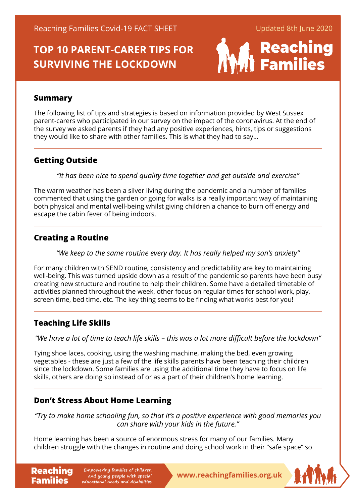# **TOP 10 PARENT-CARER TIPS FOR SURVIVING THE LOCKDOWN**



# **Summary**

The following list of tips and strategies is based on information provided by West Sussex parent-carers who participated in our survey on the impact of the coronavirus. At the end of the survey we asked parents if they had any positive experiences, hints, tips or suggestions they would like to share with other families. This is what they had to say…

# **Getting Outside**

*"It has been nice to spend quality time together and get outside and exercise"*

The warm weather has been a silver living during the pandemic and a number of families commented that using the garden or going for walks is a really important way of maintaining both physical and mental well-being whilst giving children a chance to burn off energy and escape the cabin fever of being indoors.

# **Creating a Routine**

*"We keep to the same routine every day. It has really helped my son's anxiety"*

For many children with SEND routine, consistency and predictability are key to maintaining well-being. This was turned upside down as a result of the pandemic so parents have been busy creating new structure and routine to help their children. Some have a detailed timetable of activities planned throughout the week, other focus on regular times for school work, play, screen time, bed time, etc. The key thing seems to be finding what works best for you!

# **Teaching Life Skills**

Families

*"We have a lot of time to teach life skills – this was a lot more difficult before the lockdown"*

Tying shoe laces, cooking, using the washing machine, making the bed, even growing vegetables - these are just a few of the life skills parents have been teaching their children since the lockdown. Some families are using the additional time they have to focus on life skills, others are doing so instead of or as a part of their children's home learning.

# **Don't Stress About Home Learning**

*"Try to make home schooling fun, so that it's a positive experience with good memories you can share with your kids in the future."*

Home learning has been a source of enormous stress for many of our families. Many children struggle with the changes in routine and doing school work in their "safe space" so

**Reaching** Empowering families of children<br> **Again Communism** and young people with special **Communism WWW.reachingfamilies.org.uk Empowering families of children and young people with special educational needs and disabilities**

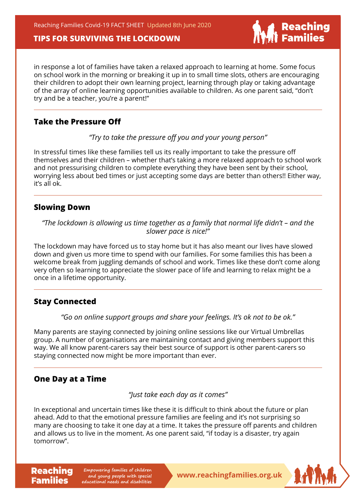# **TIPS FOR SURVIVING THE LOCKDOWN**

in response a lot of families have taken a relaxed approach to learning at home. Some focus on school work in the morning or breaking it up in to small time slots, others are encouraging their children to adopt their own learning project, learning through play or taking advantage of the array of online learning opportunities available to children. As one parent said, "don't try and be a teacher, you're a parent!"

# **Take the Pressure Off**

*"Try to take the pressure off you and your young person"*

In stressful times like these families tell us its really important to take the pressure off themselves and their children – whether that's taking a more relaxed approach to school work and not pressurising children to complete everything they have been sent by their school, worrying less about bed times or just accepting some days are better than others!! Either way, it's all ok.

# **Slowing Down**

#### *"The lockdown is allowing us time together as a family that normal life didn't – and the slower pace is nice!"*

The lockdown may have forced us to stay home but it has also meant our lives have slowed down and given us more time to spend with our families. For some families this has been a welcome break from juggling demands of school and work. Times like these don't come along very often so learning to appreciate the slower pace of life and learning to relax might be a once in a lifetime opportunity.

# **Stay Connected**

*"Go on online support groups and share your feelings. It's ok not to be ok."*

Many parents are staying connected by joining online sessions like our Virtual Umbrellas group. A number of organisations are maintaining contact and giving members support this way. We all know parent-carers say their best source of support is other parent-carers so staying connected now might be more important than ever.

# **One Day at a Time**

Families

*"Just take each day as it comes"*

In exceptional and uncertain times like these it is difficult to think about the future or plan ahead. Add to that the emotional pressure families are feeling and it's not surprising so many are choosing to take it one day at a time. It takes the pressure off parents and children and allows us to live in the moment. As one parent said, "if today is a disaster, try again tomorrow".

**Reaching** Empowering families of children<br> **Reachingfamilies.org.uk Empowering families of children and young people with special educational needs and disabilities**



**Reaching**<br>**Families**